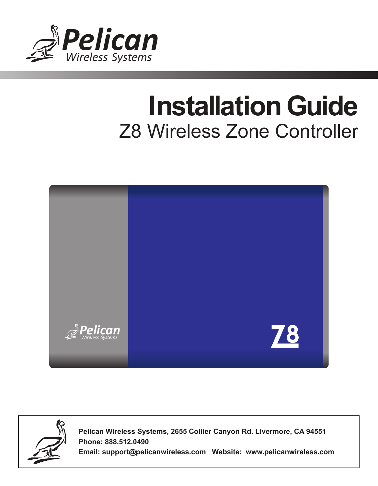

# Z8 Wireless Zone Controller **Installation Guide**





**Pelican Wireless Systems, 2655 Collier Canyon Rd. Livermore, CA 94551 Phone: 888.512.0490**

**Email: support@pelicanwireless.com Website: www.pelicanwireless.com**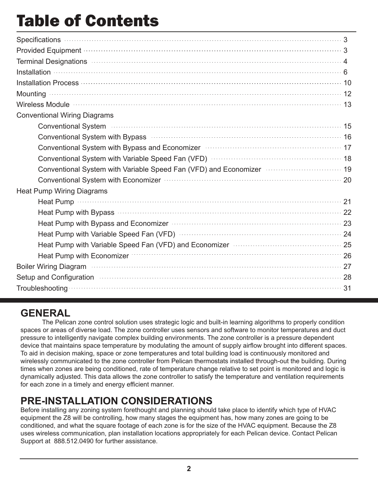# Table of Contents

| Specifications 3                                                                                                                                                                                                                     |  |
|--------------------------------------------------------------------------------------------------------------------------------------------------------------------------------------------------------------------------------------|--|
| Provided Equipment (All and All and All and All and All and All and All and All and All and All and All and Al                                                                                                                       |  |
| Terminal Designations (1996) 44 and 200 million and 200 million and 200 million and 200 million and 200 million                                                                                                                      |  |
| $\boxed{\text{nstallation}}$                                                                                                                                                                                                         |  |
| Installation Process (100) 10                                                                                                                                                                                                        |  |
| Mounting <b>contract to the contract of the contract of the contract of the contract of the contract of the contract of the contract of the contract of the contract of the contract of the contract of the contract of the cont</b> |  |
|                                                                                                                                                                                                                                      |  |
| <b>Conventional Wiring Diagrams</b>                                                                                                                                                                                                  |  |
| Conventional System (15) and the System (15) and System (15) and System (15) and System (15) and System (15) and System (15) and System (15) and System (15) and System (15) and System (15) and System (15) and System (15) a       |  |
| Conventional System with Bypass <b>With Convention Conventional Conventional System with Bypass With Convention</b>                                                                                                                  |  |
| Conventional System with Bypass and Economizer <b>Constanting Conventional System with Bypass and Economizer</b> (27)                                                                                                                |  |
|                                                                                                                                                                                                                                      |  |
| Conventional System with Variable Speed Fan (VFD) and Economizer <b>William Conventional</b> System with Variable Speed Fan (VFD) and Economizer                                                                                     |  |
| Conventional System with Economizer <b>Contract Constantine Conventional</b> 20                                                                                                                                                      |  |
| <b>Heat Pump Wiring Diagrams</b>                                                                                                                                                                                                     |  |
|                                                                                                                                                                                                                                      |  |
| Heat Pump with Bypass <b>construction of the construction</b> and the construction of the construction of the construction of the construction of the construction of the construction of the construction of the construction of t  |  |
| Heat Pump with Bypass and Economizer <b>Contract Contract Contract Pump with Bypass and Economizer</b> 23                                                                                                                            |  |
| Heat Pump with Variable Speed Fan (VFD) Manual Communication and the 24                                                                                                                                                              |  |
| Heat Pump with Variable Speed Fan (VFD) and Economizer <b>Constant Constant Pump with Variable Speed</b> Fan (VFD) and Economizer Constant Constant Constant                                                                         |  |
| Heat Pump with Economizer <b>Contact Act and Service Contact Act and Service 26</b>                                                                                                                                                  |  |
| Boiler Wiring Diagram <b>Construction Community</b> 27                                                                                                                                                                               |  |
| Setup and Configuration manufactured control of the control of the control of the control of the control of the                                                                                                                      |  |
| Troubleshooting 31                                                                                                                                                                                                                   |  |

### **GENERAL**

 The Pelican zone control solution uses strategic logic and built-in learning algorithms to properly condition spaces or areas of diverse load. The zone controller uses sensors and software to monitor temperatures and duct pressure to intelligently navigate complex building environments. The zone controller is a pressure dependent device that maintains space temperature by modulating the amount of supply airflow brought into different spaces. To aid in decision making, space or zone temperatures and total building load is continuously monitored and wirelessly communicated to the zone controller from Pelican thermostats installed through-out the building. During times when zones are being conditioned, rate of temperature change relative to set point is monitored and logic is dynamically adjusted. This data allows the zone controller to satisfy the temperature and ventilation requirements for each zone in a timely and energy efficient manner.

## **PRE-INSTALLATION CONSIDERATIONS**

Before installing any zoning system forethought and planning should take place to identify which type of HVAC equipment the Z8 will be controlling, how many stages the equipment has, how many zones are going to be conditioned, and what the square footage of each zone is for the size of the HVAC equipment. Because the Z8 uses wireless communication, plan installation locations appropriately for each Pelican device. Contact Pelican Support at 888.512.0490 for further assistance.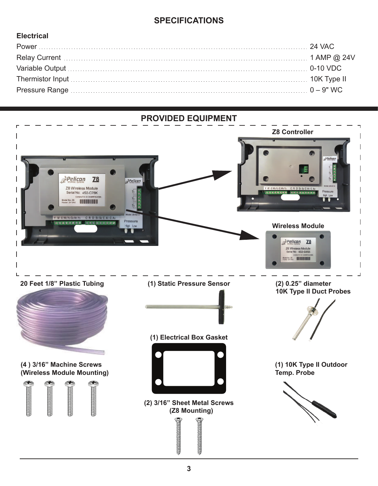#### **SPECIFICATIONS**

#### **Electrical**

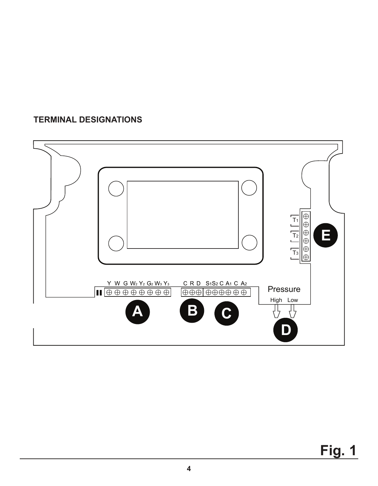#### **TERMINAL DESIGNATIONS**

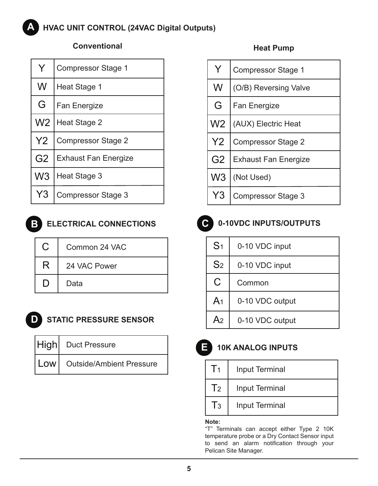#### **HVAC UNIT CONTROL (24VAC Digital Outputs) A**

#### **Conventional Heat Pump**

| Y              | <b>Compressor Stage 1</b>   |
|----------------|-----------------------------|
| W              | Heat Stage 1                |
| G              | <b>Fan Energize</b>         |
| W <sub>2</sub> | Heat Stage 2                |
| Y2             | <b>Compressor Stage 2</b>   |
| G <sub>2</sub> | <b>Exhaust Fan Energize</b> |
| W <sub>3</sub> | Heat Stage 3                |
| Y <sub>3</sub> | <b>Compressor Stage 3</b>   |



### **BLECTRICAL CONNECTIONS C** 0-10VDC INPUTS/OUTPUTS

| C   | Common 24 VAC |
|-----|---------------|
| R   | 24 VAC Power  |
| נ ו | Data          |



#### **D STATIC PRESSURE SENSOR**

| High Duct Pressure             |
|--------------------------------|
| Low   Outside/Ambient Pressure |

| Y              | <b>Compressor Stage 1</b>   |
|----------------|-----------------------------|
| W              | (O/B) Reversing Valve       |
| G              | <b>Fan Energize</b>         |
| W <sub>2</sub> | (AUX) Electric Heat         |
| Y2             | <b>Compressor Stage 2</b>   |
| G <sub>2</sub> | <b>Exhaust Fan Energize</b> |
| W <sub>3</sub> | (Not Used)                  |
| Y3             | <b>Compressor Stage 3</b>   |



| S <sub>1</sub> | 0-10 VDC input  |
|----------------|-----------------|
| S <sub>2</sub> | 0-10 VDC input  |
| C              | Common          |
| A <sub>1</sub> | 0-10 VDC output |
| A <sub>2</sub> | 0-10 VDC output |

### **E 10K ANALOG INPUTS**

| T <sub>1</sub> | <b>Input Terminal</b> |
|----------------|-----------------------|
| T <sub>2</sub> | <b>Input Terminal</b> |
| $T_3$          | <b>Input Terminal</b> |

#### **Note:**

"T" Terminals can accept either Type 2 10K temperature probe or a Dry Contact Sensor input to send an alarm notification through your Pelican Site Manager.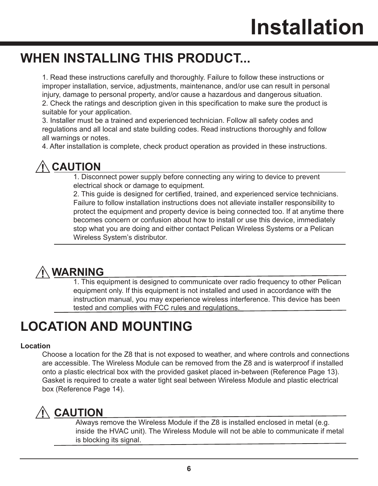## **WHEN INSTALLING THIS PRODUCT...**

 1. Read these instructions carefully and thoroughly. Failure to follow these instructions or improper installation, service, adjustments, maintenance, and/or use can result in personal injury, damage to personal property, and/or cause a hazardous and dangerous situation. 2. Check the ratings and description given in this specification to make sure the product is suitable for your application.

 3. Installer must be a trained and experienced technician. Follow all safety codes and regulations and all local and state building codes. Read instructions thoroughly and follow all warnings or notes.

4. After installation is complete, check product operation as provided in these instructions.

## **CAUTION**

 1. Disconnect power supply before connecting any wiring to device to prevent electrical shock or damage to equipment.

 2. This guide is designed for certified, trained, and experienced service technicians. Failure to follow installation instructions does not alleviate installer responsibility to protect the equipment and property device is being connected too. If at anytime there becomes concern or confusion about how to install or use this device, immediately stop what you are doing and either contact Pelican Wireless Systems or a Pelican Wireless System's distributor.

## **WARNING**

 1. This equipment is designed to communicate over radio frequency to other Pelican equipment only. If this equipment is not installed and used in accordance with the instruction manual, you may experience wireless interference. This device has been tested and complies with FCC rules and regulations.

## **LOCATION AND MOUNTING**

#### **Location**

 Choose a location for the Z8 that is not exposed to weather, and where controls and connections are accessible. The Wireless Module can be removed from the Z8 and is waterproof if installed onto a plastic electrical box with the provided gasket placed in-between (Reference Page 13). Gasket is required to create a water tight seal between Wireless Module and plastic electrical box (Reference Page 14).

## **CAUTION**

 Always remove the Wireless Module if the Z8 is installed enclosed in metal (e.g. inside the HVAC unit). The Wireless Module will not be able to communicate if metal is blocking its signal.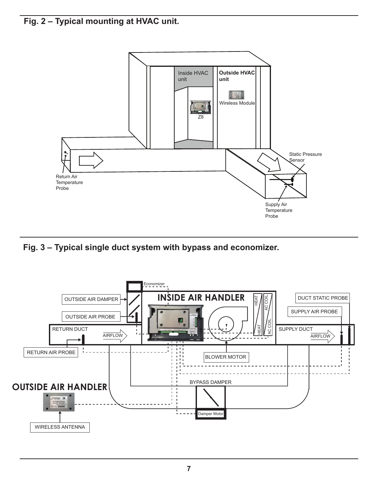**Fig. 2 – Typical mounting at HVAC unit.**



**Fig. 3 – Typical single duct system with bypass and economizer.**

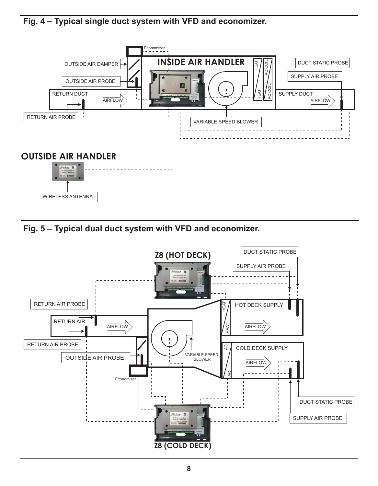**Fig. 4 – Typical single duct system with VFD and economizer.**



**Fig. 5 – Typical dual duct system with VFD and economizer.**

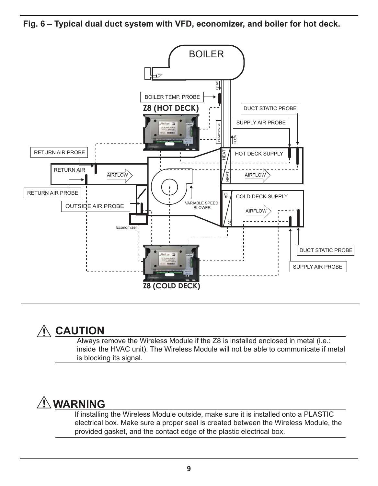**Fig. 6 – Typical dual duct system with VFD, economizer, and boiler for hot deck.**



### **CAUTION**

 Always remove the Wireless Module if the Z8 is installed enclosed in metal (i.e.: inside the HVAC unit). The Wireless Module will not be able to communicate if metal is blocking its signal.

## **WARNING**

 If installing the Wireless Module outside, make sure it is installed onto a PLASTIC electrical box. Make sure a proper seal is created between the Wireless Module, the provided gasket, and the contact edge of the plastic electrical box.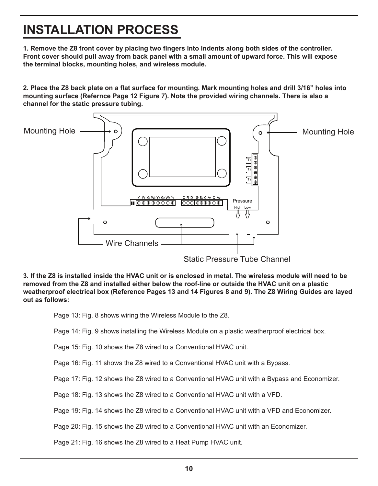## **INSTALLATION PROCESS**

**1. Remove the Z8 front cover by placing two fingers into indents along both sides of the controller. Front cover should pull away from back panel with a small amount of upward force. This will expose the terminal blocks, mounting holes, and wireless module.**

**2. Place the Z8 back plate on a flat surface for mounting. Mark mounting holes and drill 3/16" holes into mounting surface (Refernce Page 12 Figure 7). Note the provided wiring channels. There is also a channel for the static pressure tubing.**



**3. If the Z8 is installed inside the HVAC unit or is enclosed in metal. The wireless module will need to be removed from the Z8 and installed either below the roof-line or outside the HVAC unit on a plastic weatherproof electrical box (Reference Pages 13 and 14 Figures 8 and 9). The Z8 Wiring Guides are layed out as follows:**

Page 13: Fig. 8 shows wiring the Wireless Module to the Z8.

Page 14: Fig. 9 shows installing the Wireless Module on a plastic weatherproof electrical box.

Page 15: Fig. 10 shows the Z8 wired to a Conventional HVAC unit.

Page 16: Fig. 11 shows the Z8 wired to a Conventional HVAC unit with a Bypass.

Page 17: Fig. 12 shows the Z8 wired to a Conventional HVAC unit with a Bypass and Economizer.

Page 18: Fig. 13 shows the Z8 wired to a Conventional HVAC unit with a VFD.

Page 19: Fig. 14 shows the Z8 wired to a Conventional HVAC unit with a VFD and Economizer.

Page 20: Fig. 15 shows the Z8 wired to a Conventional HVAC unit with an Economizer.

Page 21: Fig. 16 shows the Z8 wired to a Heat Pump HVAC unit.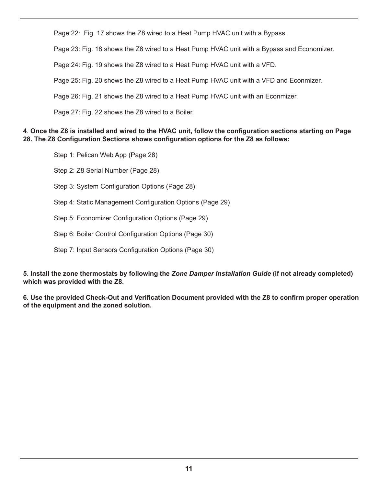Page 22: Fig. 17 shows the Z8 wired to a Heat Pump HVAC unit with a Bypass.

Page 23: Fig. 18 shows the Z8 wired to a Heat Pump HVAC unit with a Bypass and Economizer.

Page 24: Fig. 19 shows the Z8 wired to a Heat Pump HVAC unit with a VFD.

Page 25: Fig. 20 shows the Z8 wired to a Heat Pump HVAC unit with a VFD and Econmizer.

Page 26: Fig. 21 shows the Z8 wired to a Heat Pump HVAC unit with an Econmizer.

Page 27: Fig. 22 shows the Z8 wired to a Boiler.

#### **4**. **Once the Z8 is installed and wired to the HVAC unit, follow the configuration sections starting on Page 28. The Z8 Configuration Sections shows configuration options for the Z8 as follows:**

 Step 1: Pelican Web App (Page 28) Step 2: Z8 Serial Number (Page 28) Step 3: System Configuration Options (Page 28) Step 4: Static Management Configuration Options (Page 29) Step 5: Economizer Configuration Options (Page 29) Step 6: Boiler Control Configuration Options (Page 30) Step 7: Input Sensors Configuration Options (Page 30)

**5**. **Install the zone thermostats by following the** *Zone Damper Installation Guide* **(if not already completed) which was provided with the Z8.** 

**6. Use the provided Check-Out and Verification Document provided with the Z8 to confirm proper operation of the equipment and the zoned solution.**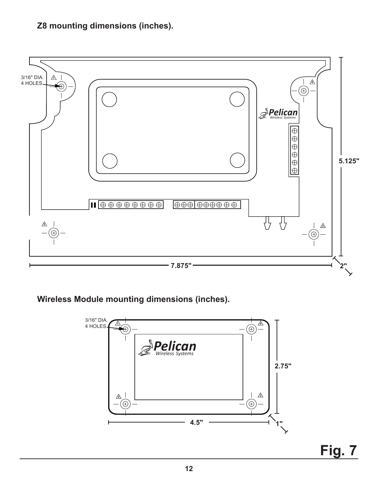#### **Z8 mounting dimensions (inches).**



**Wireless Module mounting dimensions (inches).**



**Fig. 7**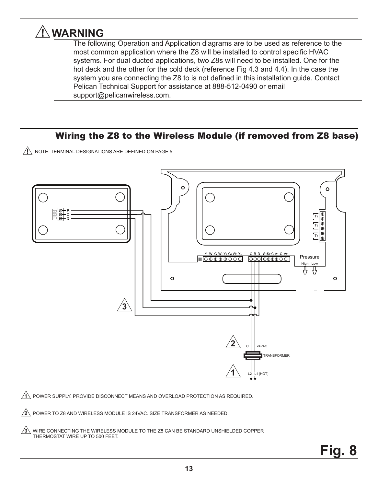## **WARNING**

 The following Operation and Application diagrams are to be used as reference to the most common application where the Z8 will be installed to control specific HVAC systems. For dual ducted applications, two Z8s will need to be installed. One for the hot deck and the other for the cold deck (reference Fig 4.3 and 4.4). In the case the system you are connecting the Z8 to is not defined in this installation guide. Contact Pelican Technical Support for assistance at 888-512-0490 or email support@pelicanwireless.com.

#### Wiring the Z8 to the Wireless Module (if removed from Z8 base)

 $N$  NOTE: TERMINAL DESIGNATIONS ARE DEFINED ON PAGE 5



<u>1\</u> POWER SUPPLY. PROVIDE DISCONNECT MEANS AND OVERLOAD PROTECTION AS REQUIRED.

POWER TO Z8 AND WIRELESS MODULE IS 24VAC. SIZE TRANSFORMER AS NEEDED. **2**

 $3\!\!1$  WIRE CONNECTING THE WIRELESS MODULE TO THE Z8 CAN BE STANDARD UNSHIELDED COPPER THERMOSTAT WIRE UP TO 500 FEET.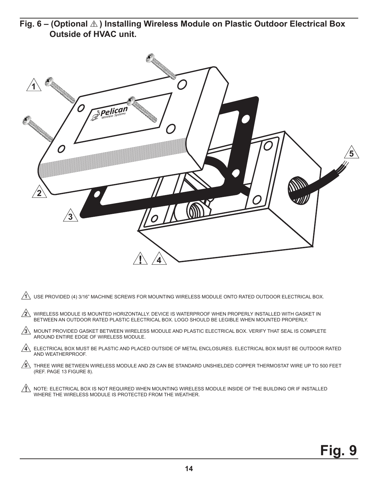Fig. 6 – (Optional  $\triangle$ ) Installing Wireless Module on Plastic Outdoor Electrical Box  **Outside of HVAC unit.**



| $\overbrace{A}\!\!\!\!\!\!A$ USE PROVIDED (4) 3/16" MACHINE SCREWS FOR MOUNTING WIRELESS MODULE ONTO RATED OUTDOOR ELECTRICAL BOX. |  |
|------------------------------------------------------------------------------------------------------------------------------------|--|
|                                                                                                                                    |  |

WIRELESS MODULE IS MOUNTED HORIZONTALLY. DEVICE IS WATERPROOF WHEN PROPERLY INSTALLED WITH GASKET IN BETWEEN AN OUTDOOR RATED PLASTIC ELECTRICAL BOX. LOGO SHOULD BE LEGIBLE WHEN MOUNTED PROPERLY. **2**

MOUNT PROVIDED GASKET BETWEEN WIRELESS MODULE AND PLASTIC ELECTRICAL BOX. VERIFY THAT SEAL IS COMPLETE **3** AROUND ENTIRE EDGE OF WIRELESS MODULE.

ELECTRICAL BOX MUST BE PLASTIC AND PLACED OUTSIDE OF METAL ENCLOSURES. ELECTRICAL BOX MUST BE OUTDOOR RATED **4** AND WEATHERPROOF.

 $5$  THREE WIRE BETWEEN WIRELESS MODULE AND Z8 CAN BE STANDARD UNSHIELDED COPPER THERMOSTAT WIRE UP TO 500 FEET (REF. PAGE 13 FIGURE 8).

NOTE: ELECTRICAL BOX IS NOT REQUIRED WHEN MOUNTING WIRELESS MODULE INSIDE OF THE BUILDING OR IF INSTALLED WHERE THE WIRELESS MODULE IS PROTECTED FROM THE WEATHER.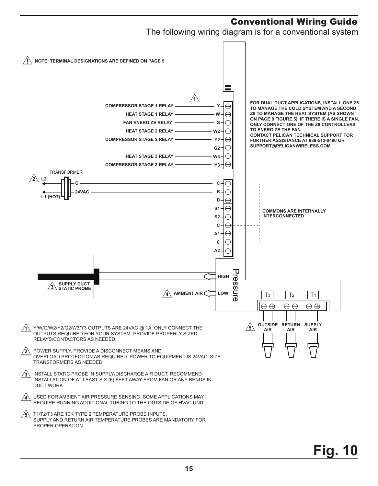#### Conventional Wiring Guide

The following wiring diagram is for a conventional system

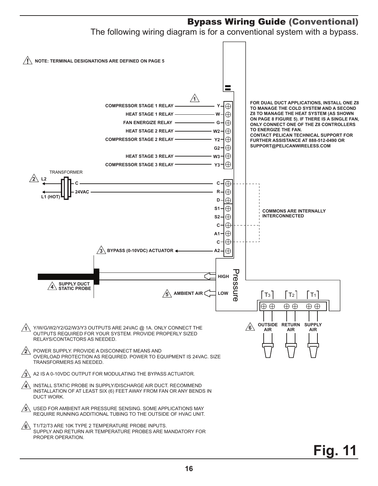#### Bypass Wiring Guide (Conventional) The following wiring diagram is for a conventional system with a bypass.  $\sqrt{N}$  note: Terminal designations are defined on page 5 **1 FOR DUAL DUCT APPLICATIONS, INSTALL ONE Z8 COMPRESSOR STAGE 1 RELAY**  $\oplus$ **Y TO MANAGE THE COLD SYSTEM AND A SECOND HEAT STAGE 1 RELAY**  $\oplus$ **Z8 TO MANAGE THE HEAT SYSTEM (AS SHOWN W ON PAGE 8 FIGURE 5). IF THERE IS A SINGLE FAN, FAN ENERGIZE RELAY G**  $\oplus$ **ONLY CONNECT ONE OF THE Z8 CONTROLLERS TO ENERGIZE THE FAN.**  $\oplus$ **HEAT STAGE 2 RELAY W2 CONTACT PELICAN TECHNICAL SUPPORT FOR COMPRESSOR STAGE 2 RELAY** ⊕ **Y2 FURTHER ASSISTANCE AT 888-512-0490 OR SUPPORT@PELICANWIRELESS.COM** $\oplus$ **G2**  $\oplus$ **HEAT STAGE 3 RELAY W3**  $\oplus$ **COMPRESSOR STAGE 3 RELAY Y3** TRANSFORMER  $\sqrt{2}$ **L2 C**  $\oplus$ **C**  $\oplus$ **R 24VAC L1 (HOT)**  $\oplus$ **D** Æ **S1 COMMONS ARE INTERNALLY INTERCONNECTED S2** Æ ⊕ **C**  $\oplus$ **A1**  $\oplus$ **C**  $\oplus$ **3 BYPASS (0-10VDC) ACTUATOR A2** Pressure υ **HIGH** ressure **SUPPLY DUCT 4 STATIC PROBE LOW 5 AMBIENT AIR**  $T_3$   $T_2$   $T_1$  $\oplus$  $\oplus$  $\oplus$   $\oplus$  $\oplus$  $\oplus$ **6 OUTSIDE RETURN SUPPLY** Y/W/G/W2/Y2/G2/W3/Y3 OUTPUTS ARE 24VAC @ 1A. ONLY CONNECT THE **1 AIR AIR AIR** OUTPUTS REQUIRED FOR YOUR SYSTEM. PROVIDE PROPERLY SIZED RELAYS/CONTACTORS AS NEEDED. **2** POWER SUPPLY. PROVIDE A DISCONNECT MEANS AND OVERLOAD PROTECTION AS REQUIRED. POWER TO EQUIPMENT IS 24VAC. SIZE TRANSFORMERS AS NEEDED. A2 IS A 0-10VDC OUTPUT FOR MODULATING THE BYPASS ACTUATOR. **3** INSTALL STATIC PROBE IN SUPPLY/DISCHARGE AIR DUCT. RECOMMEND **4** INSTALLATION OF AT LEAST SIX (6) FEET AWAY FROM FAN OR ANY BENDS IN DUCT WORK. **5** USED FOR AMBIENT AIR PRESSURE SENSING. SOME APPLICATIONS MAY REQUIRE RUNNING ADDITIONAL TUBING TO THE OUTSIDE OF HVAC UNIT. T1/T2/T3 ARE 10K TYPE 2 TEMPERATURE PROBE INPUTS. **6** SUPPLY AND RETURN AIR TEMPERATURE PROBES ARE MANDATORY FOR PROPER OPERATION.

## **Fig. 11**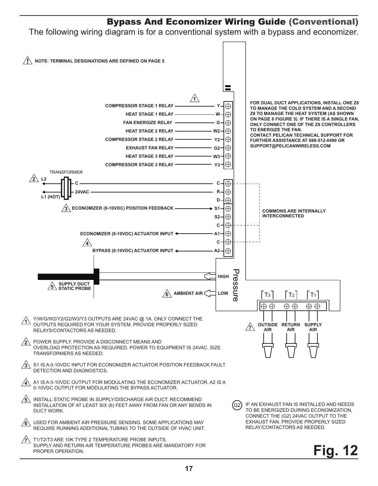#### Bypass And Economizer Wiring Guide (Conventional)

The following wiring diagram is for a conventional system with a bypass and economizer.

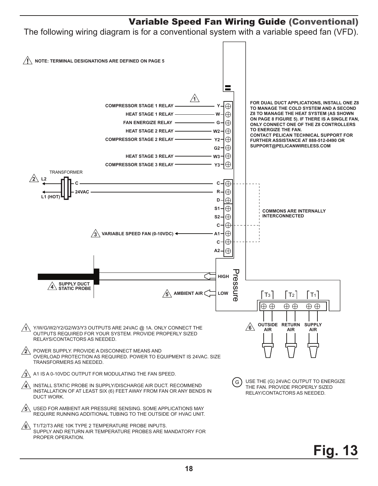#### Variable Speed Fan Wiring Guide (Conventional)

The following wiring diagram is for a conventional system with a variable speed fan (VFD).

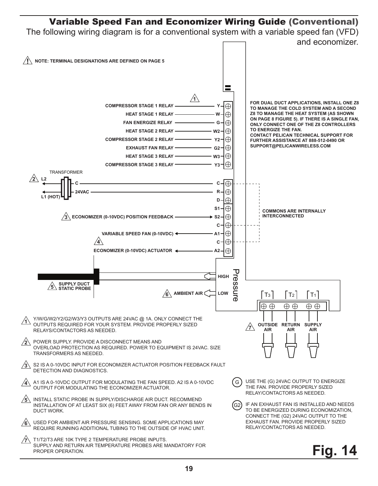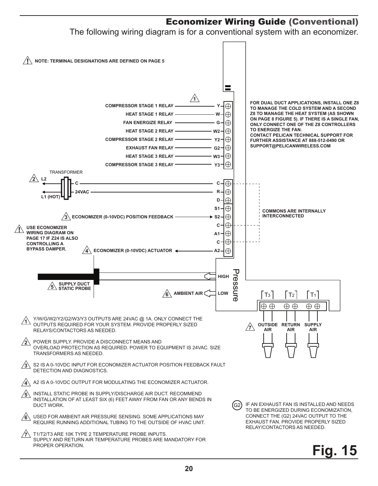#### Economizer Wiring Guide (Conventional)

The following wiring diagram is for a conventional system with an economizer.

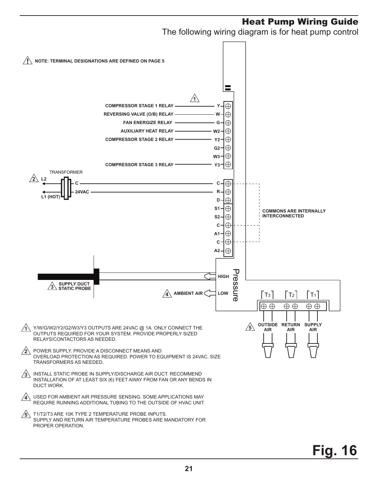#### Heat Pump Wiring Guide

The following wiring diagram is for heat pump control

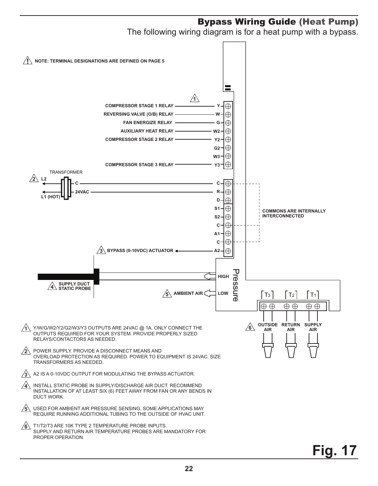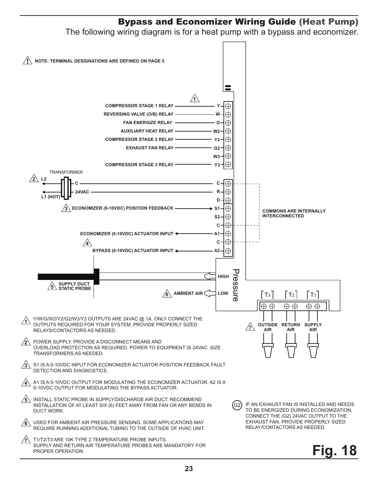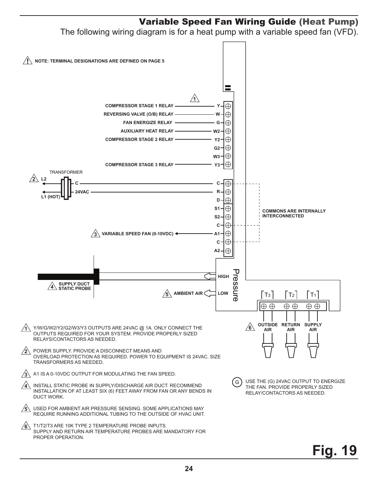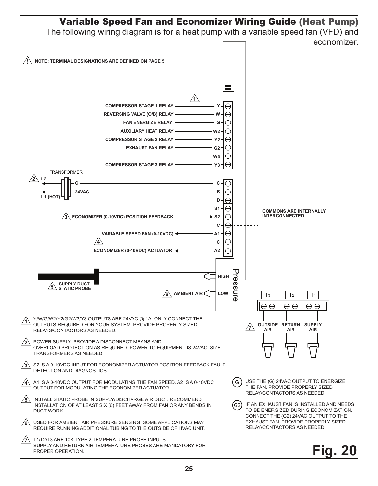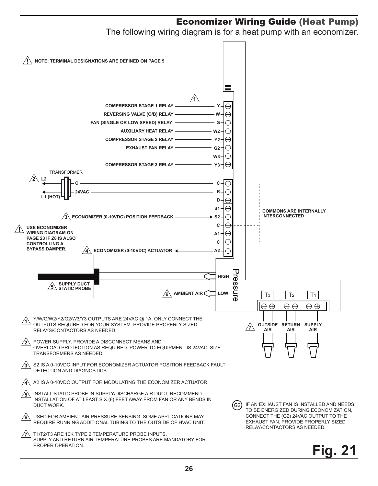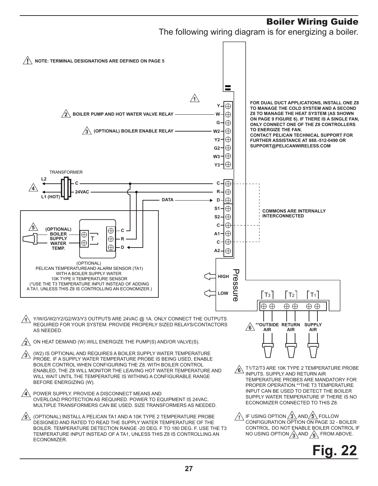#### Boiler Wiring Guide

The following wiring diagram is for energizing a boiler.

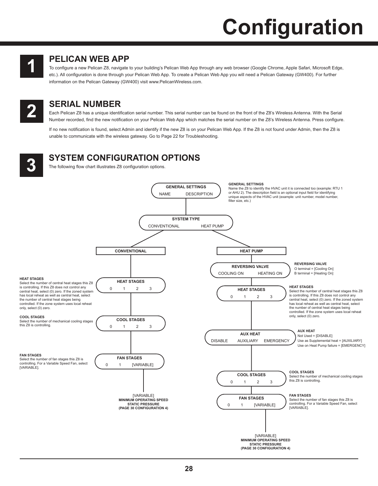# **Configuration**



#### **PELICAN WEB APP 1**

To configure a new Pelican Z8, navigate to your building's Pelican Web App through any web browser (Google Chrome, Apple Safari, Microsoft Edge, etc.). All configuration is done through your Pelican Web App. To create a Pelican Web App you will need a Pelican Gateway (GW400). For further information on the Pelican Gateway (GW400) visit www.PelicanWireless.com.



**SERIAL NUMBER**<br> **Each Pelican Z8 has a unique identif**<br> **Alumber recorded, find the new notifical** Each Pelican Z8 has a unique identification serial number. This serial number can be found on the front of the Z8's Wireless Antenna. With the Serial Number recorded, find the new notification on your Pelican Web App which matches the serial number on the Z8's Wireless Antenna. Press configure.

If no new notification is found, select Admin and identify if the new Z8 is on your Pelican Web App. If the Z8 is not found under Admin, then the Z8 is unable to communicate with the wireless gateway. Go to Page 22 for Troubleshooting.



## **SYSTEM CONFIGURATION OPTIONS**<br>The following flow chart illustrates Z8 configuration options.

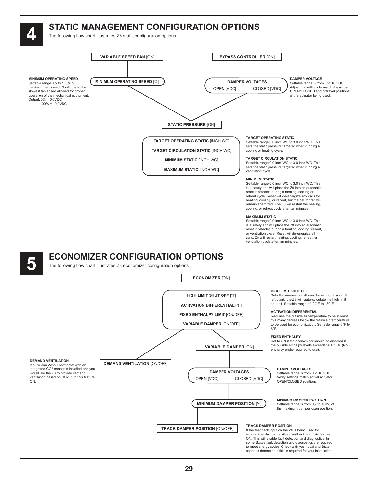## **STATIC MANAGEMENT CONFIGURATION OPTIONS**<br>The following flow chart illustrates Z8 static configuration options.



to meet energy codes. Check with your local and State codes to determine if this is required for your installation.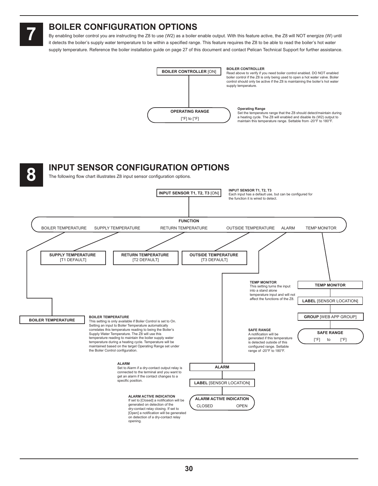#### **7 BOILER CONFIGURATION OPTIONS**

By enabling boiler control you are instructing the Z8 to use (W2) as a boiler enable output. With this feature active, the Z8 will NOT energize (W) until it detects the boiler's supply water temperature to be within a specified range. This feature requires the Z8 to be able to read the boiler's hot water supply temperature. Reference the boiler installation guide on page 27 of this document and contact Pelican Technical Support for further assistance.



#### **8 INPUT SENSOR CONFIGURATION OPTIONS**

The following flow chart illustrates Z8 input sensor configuration options.

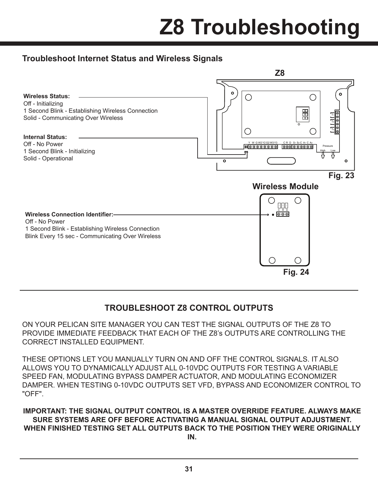# **Z8 Troubleshooting**

#### **Troubleshoot Internet Status and Wireless Signals**



#### **TROUBLESHOOT Z8 CONTROL OUTPUTS**

ON YOUR PELICAN SITE MANAGER YOU CAN TEST THE SIGNAL OUTPUTS OF THE Z8 TO PROVIDE IMMEDIATE FEEDBACK THAT EACH OF THE Z8's OUTPUTS ARE CONTROLLING THE CORRECT INSTALLED EQUIPMENT.

THESE OPTIONS LET YOU MANUALLY TURN ON AND OFF THE CONTROL SIGNALS. IT ALSO ALLOWS YOU TO DYNAMICALLY ADJUST ALL 0-10VDC OUTPUTS FOR TESTING A VARIABLE SPEED FAN, MODULATING BYPASS DAMPER ACTUATOR, AND MODULATING ECONOMIZER DAMPER. WHEN TESTING 0-10VDC OUTPUTS SET VFD, BYPASS AND ECONOMIZER CONTROL TO "OFF".

**IMPORTANT: THE SIGNAL OUTPUT CONTROL IS A MASTER OVERRIDE FEATURE. ALWAYS MAKE SURE SYSTEMS ARE OFF BEFORE ACTIVATING A MANUAL SIGNAL OUTPUT ADJUSTMENT. WHEN FINISHED TESTING SET ALL OUTPUTS BACK TO THE POSITION THEY WERE ORIGINALLY IN.**